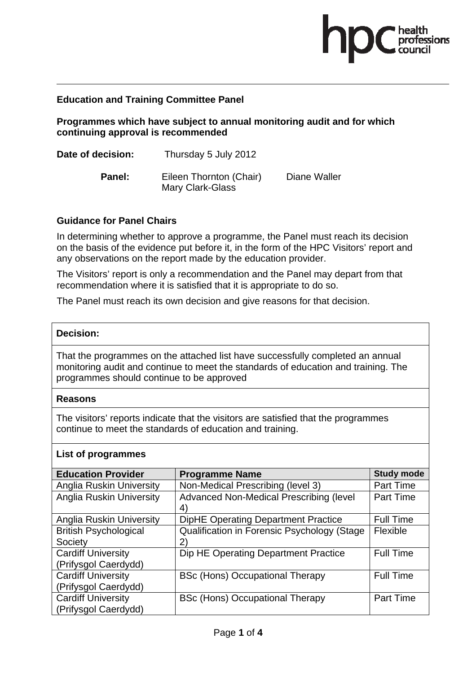

# **Education and Training Committee Panel**

**Programmes which have subject to annual monitoring audit and for which continuing approval is recommended** 

| Date of decision: | Thursday 5 July 2012                        |              |
|-------------------|---------------------------------------------|--------------|
| Panel:            | Eileen Thornton (Chair)<br>Mary Clark-Glass | Diane Waller |

# **Guidance for Panel Chairs**

In determining whether to approve a programme, the Panel must reach its decision on the basis of the evidence put before it, in the form of the HPC Visitors' report and any observations on the report made by the education provider.

The Visitors' report is only a recommendation and the Panel may depart from that recommendation where it is satisfied that it is appropriate to do so.

The Panel must reach its own decision and give reasons for that decision.

### **Decision:**

That the programmes on the attached list have successfully completed an annual monitoring audit and continue to meet the standards of education and training. The programmes should continue to be approved

### **Reasons**

The visitors' reports indicate that the visitors are satisfied that the programmes continue to meet the standards of education and training.

### **List of programmes**

| <b>Education Provider</b>                         | <b>Programme Name</b>                              | <b>Study mode</b> |
|---------------------------------------------------|----------------------------------------------------|-------------------|
| <b>Anglia Ruskin University</b>                   | Non-Medical Prescribing (level 3)                  | Part Time         |
| <b>Anglia Ruskin University</b>                   | Advanced Non-Medical Prescribing (level<br>4)      | Part Time         |
| <b>Anglia Ruskin University</b>                   | <b>DipHE Operating Department Practice</b>         | <b>Full Time</b>  |
| <b>British Psychological</b>                      | <b>Qualification in Forensic Psychology (Stage</b> | Flexible          |
| Society                                           | 2)                                                 |                   |
| <b>Cardiff University</b><br>(Prifysgol Caerdydd) | Dip HE Operating Department Practice               | <b>Full Time</b>  |
| <b>Cardiff University</b><br>(Prifysgol Caerdydd) | <b>BSc (Hons) Occupational Therapy</b>             | <b>Full Time</b>  |
|                                                   |                                                    |                   |
| <b>Cardiff University</b><br>(Prifysgol Caerdydd) | <b>BSc (Hons) Occupational Therapy</b>             | <b>Part Time</b>  |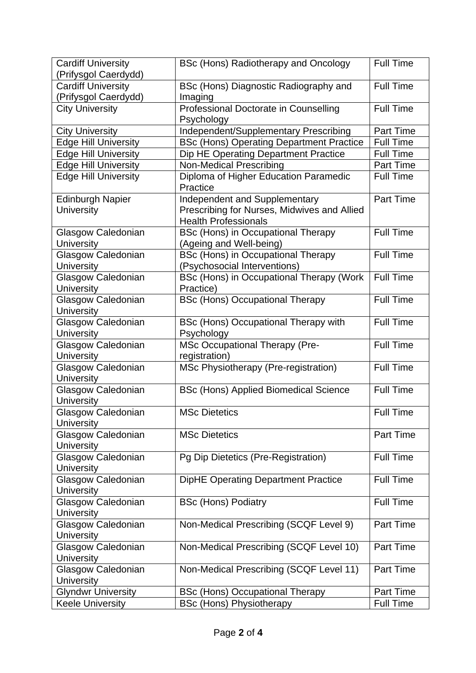| <b>Cardiff University</b>   | BSc (Hons) Radiotherapy and Oncology            | <b>Full Time</b> |
|-----------------------------|-------------------------------------------------|------------------|
| (Prifysgol Caerdydd)        |                                                 |                  |
| <b>Cardiff University</b>   | BSc (Hons) Diagnostic Radiography and           | <b>Full Time</b> |
| (Prifysgol Caerdydd)        | Imaging                                         |                  |
| <b>City University</b>      | Professional Doctorate in Counselling           | <b>Full Time</b> |
|                             | Psychology                                      |                  |
| <b>City University</b>      | Independent/Supplementary Prescribing           | Part Time        |
| <b>Edge Hill University</b> | <b>BSc (Hons) Operating Department Practice</b> | <b>Full Time</b> |
| <b>Edge Hill University</b> | Dip HE Operating Department Practice            | <b>Full Time</b> |
| <b>Edge Hill University</b> | <b>Non-Medical Prescribing</b>                  | <b>Part Time</b> |
| <b>Edge Hill University</b> | Diploma of Higher Education Paramedic           | <b>Full Time</b> |
|                             | Practice                                        |                  |
| <b>Edinburgh Napier</b>     | Independent and Supplementary                   | <b>Part Time</b> |
| <b>University</b>           | Prescribing for Nurses, Midwives and Allied     |                  |
|                             | <b>Health Professionals</b>                     |                  |
| <b>Glasgow Caledonian</b>   | <b>BSc (Hons) in Occupational Therapy</b>       | <b>Full Time</b> |
| <b>University</b>           | (Ageing and Well-being)                         |                  |
| Glasgow Caledonian          | <b>BSc (Hons) in Occupational Therapy</b>       | <b>Full Time</b> |
| <b>University</b>           | (Psychosocial Interventions)                    |                  |
| Glasgow Caledonian          | BSc (Hons) in Occupational Therapy (Work        | <b>Full Time</b> |
| <b>University</b>           | Practice)                                       |                  |
| Glasgow Caledonian          | <b>BSc (Hons) Occupational Therapy</b>          | <b>Full Time</b> |
| University                  |                                                 |                  |
| Glasgow Caledonian          | <b>BSc (Hons) Occupational Therapy with</b>     | <b>Full Time</b> |
| University                  | Psychology                                      |                  |
| Glasgow Caledonian          | <b>MSc Occupational Therapy (Pre-</b>           | <b>Full Time</b> |
| University                  | registration)                                   |                  |
| Glasgow Caledonian          | MSc Physiotherapy (Pre-registration)            | <b>Full Time</b> |
| <b>University</b>           |                                                 |                  |
| Glasgow Caledonian          | <b>BSc (Hons) Applied Biomedical Science</b>    | <b>Full Time</b> |
| <b>University</b>           |                                                 |                  |
| Glasgow Caledonian          | <b>MSc Dietetics</b>                            | <b>Full Time</b> |
| <b>University</b>           |                                                 |                  |
| Glasgow Caledonian          | <b>MSc Dietetics</b>                            | <b>Part Time</b> |
| <b>University</b>           |                                                 |                  |
| Glasgow Caledonian          | Pg Dip Dietetics (Pre-Registration)             | <b>Full Time</b> |
| University                  |                                                 |                  |
| Glasgow Caledonian          | <b>DipHE Operating Department Practice</b>      | <b>Full Time</b> |
| <b>University</b>           |                                                 |                  |
| Glasgow Caledonian          | <b>BSc (Hons) Podiatry</b>                      | <b>Full Time</b> |
| <b>University</b>           |                                                 |                  |
| Glasgow Caledonian          | Non-Medical Prescribing (SCQF Level 9)          | Part Time        |
| University                  |                                                 |                  |
| Glasgow Caledonian          | Non-Medical Prescribing (SCQF Level 10)         | <b>Part Time</b> |
| <b>University</b>           |                                                 |                  |
| Glasgow Caledonian          | Non-Medical Prescribing (SCQF Level 11)         | <b>Part Time</b> |
| <b>University</b>           |                                                 |                  |
| <b>Glyndwr University</b>   | <b>BSc (Hons) Occupational Therapy</b>          | Part Time        |
| <b>Keele University</b>     | <b>BSc (Hons) Physiotherapy</b>                 | <b>Full Time</b> |
|                             |                                                 |                  |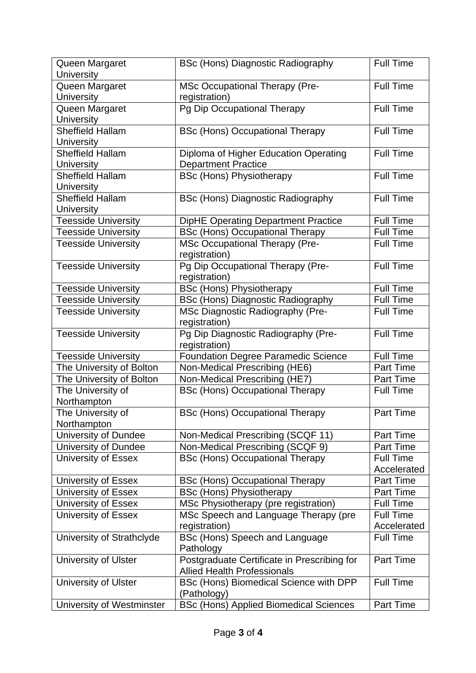| Queen Margaret              | <b>BSc (Hons) Diagnostic Radiography</b>      | <b>Full Time</b> |
|-----------------------------|-----------------------------------------------|------------------|
| <b>University</b>           |                                               |                  |
| Queen Margaret              | MSc Occupational Therapy (Pre-                | <b>Full Time</b> |
| <b>University</b>           | registration)                                 |                  |
| Queen Margaret              | Pg Dip Occupational Therapy                   | <b>Full Time</b> |
| <b>University</b>           |                                               |                  |
| <b>Sheffield Hallam</b>     | <b>BSc (Hons) Occupational Therapy</b>        | <b>Full Time</b> |
| <b>University</b>           |                                               |                  |
| <b>Sheffield Hallam</b>     | Diploma of Higher Education Operating         | <b>Full Time</b> |
| <b>University</b>           | <b>Department Practice</b>                    |                  |
| <b>Sheffield Hallam</b>     | <b>BSc (Hons) Physiotherapy</b>               | <b>Full Time</b> |
| <b>University</b>           |                                               |                  |
| <b>Sheffield Hallam</b>     | <b>BSc (Hons) Diagnostic Radiography</b>      | <b>Full Time</b> |
| <b>University</b>           |                                               |                  |
| <b>Teesside University</b>  | <b>DipHE Operating Department Practice</b>    | <b>Full Time</b> |
| <b>Teesside University</b>  | <b>BSc (Hons) Occupational Therapy</b>        | <b>Full Time</b> |
| <b>Teesside University</b>  | <b>MSc Occupational Therapy (Pre-</b>         | <b>Full Time</b> |
|                             | registration)                                 |                  |
| <b>Teesside University</b>  | Pg Dip Occupational Therapy (Pre-             | <b>Full Time</b> |
|                             | registration)                                 |                  |
| <b>Teesside University</b>  | <b>BSc (Hons) Physiotherapy</b>               | Full Time        |
| <b>Teesside University</b>  | <b>BSc (Hons) Diagnostic Radiography</b>      | Full Time        |
| <b>Teesside University</b>  | MSc Diagnostic Radiography (Pre-              | <b>Full Time</b> |
|                             | registration)                                 |                  |
| Teesside University         | Pg Dip Diagnostic Radiography (Pre-           | <b>Full Time</b> |
|                             | registration)                                 |                  |
| <b>Teesside University</b>  | <b>Foundation Degree Paramedic Science</b>    | Full Time        |
| The University of Bolton    | Non-Medical Prescribing (HE6)                 | <b>Part Time</b> |
| The University of Bolton    | Non-Medical Prescribing (HE7)                 | <b>Part Time</b> |
| The University of           | <b>BSc (Hons) Occupational Therapy</b>        | <b>Full Time</b> |
| Northampton                 |                                               |                  |
| The University of           | <b>BSc (Hons) Occupational Therapy</b>        | Part Time        |
| Northampton                 |                                               |                  |
| <b>University of Dundee</b> | Non-Medical Prescribing (SCQF 11)             | <b>Part Time</b> |
| University of Dundee        | Non-Medical Prescribing (SCQF 9)              | Part Time        |
| <b>University of Essex</b>  | <b>BSc (Hons) Occupational Therapy</b>        | <b>Full Time</b> |
|                             |                                               | Accelerated      |
| University of Essex         | <b>BSc (Hons) Occupational Therapy</b>        | <b>Part Time</b> |
| University of Essex         | <b>BSc (Hons) Physiotherapy</b>               | <b>Part Time</b> |
| <b>University of Essex</b>  | MSc Physiotherapy (pre registration)          | <b>Full Time</b> |
| University of Essex         | MSc Speech and Language Therapy (pre          | <b>Full Time</b> |
|                             | registration)                                 | Accelerated      |
| University of Strathclyde   | BSc (Hons) Speech and Language                | <b>Full Time</b> |
|                             | Pathology                                     |                  |
| University of Ulster        | Postgraduate Certificate in Prescribing for   | <b>Part Time</b> |
|                             | <b>Allied Health Professionals</b>            |                  |
| <b>University of Ulster</b> | BSc (Hons) Biomedical Science with DPP        | <b>Full Time</b> |
|                             | (Pathology)                                   |                  |
| University of Westminster   | <b>BSc (Hons) Applied Biomedical Sciences</b> | Part Time        |